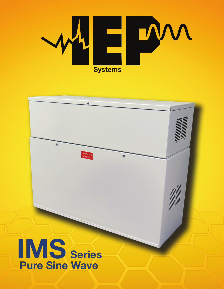

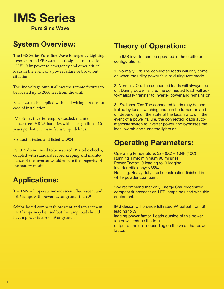

**Pure Sine Wave**

# **System Overview:**

The IMS Series Pure Sine Wave Emergency Lighting Inverter from IEP Systems is designed to provide 120V 60 hz power to emergency and other critical loads in the event of a power failure or brownout situation.

The line voltage output allows the remote fixtures to be located up to 2000 feet from the unit.

Each system is supplied with field wiring options for ease of installation.

IMS Series inverter employs sealed, maintenance-free\* VRLA batteries with a design life of 10 years per battery manufacturer guidelines.

Product is tested and listed UL924

\*VRLA do not need to be watered. Periodic checks, coupled with standard record keeping and maintenance of the inverter would ensure the longevity of the battery module.

# **Applications:**

The IMS will operate incandescent, fluorescent and LED lamps with power factor greater than .9

Self ballasted compact fluorescent and replacement LED lamps may be used but the lamp load should have a power factor of .9 or greater.

## **Theory of Operation:**

The IMS inverter can be operated in three different configurations.

1. Normally Off; The connected loads will only come on when the utility power fails or during test mode.

2. Normally On: The connected loads will always be on. During power failure, the connected load will auto-matically transfer to inverter power and remains on

3. Switched/On: The connected loads may be controlled by local switching and can be turned on and off depending on the state of the local switch. In the event of a power failure, the connected loads automatically switch to inverter power and bypasses the local switch and turns the lights on.

### **Operating Parameters:**

Operating temperature: 32F (0C) – 104F (40C) Running Time: minimum 90 minutes Power Factor: .9 leading to .9 lagging Inverter efficiency: >85% Housing: Heavy duty steel construction finished in white powder coat paint

\*We recommend that only Energy Star recognized compact fluorescent or LED lamps be used with this equipment.

IMS design will provide full rated VA output from .9 leading to .9 lagging power factor. Loads outside of this power factor will reduce the total output of the unit depending on the va at that power factor.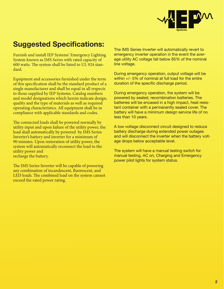

# **Suggested Specifications:**

Furnish and install IEP Systems' Emergency Lighting System known as IMS Series with rated capacity of 600 watts. The system shall be listed to UL 924 standard.

Equipment and accessories furnished under the term of this specification shall be the standard product of a single manufacturer and shall be equal in all respects to those supplied by IEP Systems. Catalog numbers and model designations which herein indicate design, quality and the type of materials as well as required operating characteristics. All equipment shall be in compliance with applicable standards and codes.

The connected loads shall be powered normally by utility input and upon failure of the utility power, the load shall automatically by powered by IMS Series Inverter's battery and inverter for a minimum of 90 minutes. Upon restoration of utility power, the system will automatically reconnect the load to the utility power and recharge the battery.

The IMS Series Inverter will be capable of powering any combination of incandescent, fluorescent, and LED loads. The combined load on the system cannot exceed the rated power rating.

The IMS Series Inverter will automatically revert to emergency inverter operation in the event the average utility AC voltage fall below 85% of the nominal line voltage.

During emergency operation, output voltage will be within +/- 5% of nominal at full load for the entire duration of the specific discharge period.

During emergency operation, the system will be powered by sealed, recombination batteries. The batteries will be encased in a high impact, heat resistant container with a permanently sealed cover. The battery will have a minimum design service life of no less than 10 years.

A low voltage disconnect circuit designed to reduce battery discharge during extended power outages and will disconnect the inverter when the battery voltage drops below acceptable level.

The system will have a manual testing switch for manual testing, AC on, Charging and Emergency power pilot lights for system status.